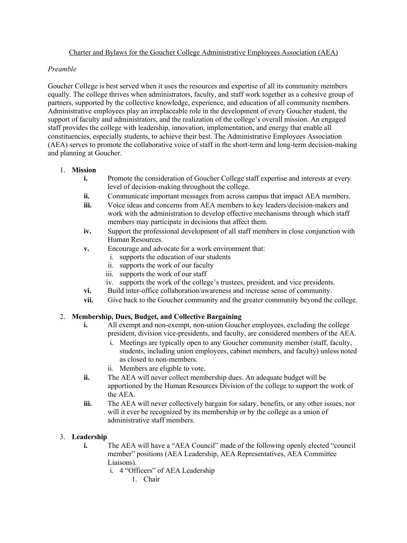# Charter and Bylaws for the Goucher College Administrative Employees Association (AEA)

#### *Preamble*

Goucher College is best served when it uses the resources and expertise of all its community members equally. The college thrives when administrators, faculty, and staff work together as a cohesive group of partners, supported by the collective knowledge, experience, and education of all community members. Administrative employees play an irreplaceable role in the development of every Goucher student, the support of faculty and administrators, and the realization of the college's overall mission. An engaged staff provides the college with leadership, innovation, implementation, and energy that enable all constituencies, especially students, to achieve their best. The Administrative Employees Association (AEA) serves to promote the collaborative voice of staff in the short-term and long-term decision-making and planning at Goucher.

#### 1. **Mission**

- **i.** Promote the consideration of Goucher College staff expertise and interests at every level of decision-making throughout the college.
- **ii.** Communicate important messages from across campus that impact AEA members.
- **iii.** Voice ideas and concerns from AEA members to key leaders/decision-makers and work with the administration to develop effective mechanisms through which staff members may participate in decisions that affect them.
- **iv.** Support the professional development of all staff members in close conjunction with Human Resources.
- **v.** Encourage and advocate for a work environment that:
	- i. supports the education of our students
	- ii. supports the work of our faculty
	- iii. supports the work of our staff
	- iv. supports the work of the college's trustees, president, and vice presidents.
- **vi.** Build inter-office collaboration/awareness and increase sense of community.
- **vii.** Give back to the Goucher community and the greater community beyond the college.

# 2. **Membership, Dues, Budget, and Collective Bargaining**

- **i.** All exempt and non-exempt, non-union Goucher employees, excluding the college president, division vice-presidents, and faculty, are considered members of the AEA.
	- i. Meetings are typically open to any Goucher community member (staff, faculty, students, including union employees, cabinet members, and faculty) unless noted as closed to non-members.
	- ii. Members are eligible to vote.
- **ii.** The AEA will never collect membership dues. An adequate budget will be apportioned by the Human Resources Division of the college to support the work of the AEA.
- **iii.** The AEA will never collectively bargain for salary, benefits, or any other issues, nor will it ever be recognized by its membership or by the college as a union of administrative staff members.

# 3. **Leadership**

- **i.** The AEA will have a "AEA Council" made of the following openly elected "council" member" positions (AEA Leadership, AEA Representatives, AEA Committee Liaisons).
	- i. 4 "Officers" of AEA Leadership
		- 1. Chair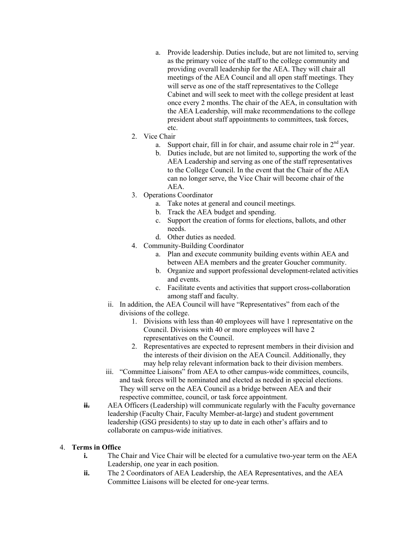- a. Provide leadership. Duties include, but are not limited to, serving as the primary voice of the staff to the college community and providing overall leadership for the AEA. They will chair all meetings of the AEA Council and all open staff meetings. They will serve as one of the staff representatives to the College Cabinet and will seek to meet with the college president at least once every 2 months. The chair of the AEA, in consultation with the AEA Leadership, will make recommendations to the college president about staff appointments to committees, task forces, etc.
- 2. Vice Chair
	- a. Support chair, fill in for chair, and assume chair role in  $2<sup>nd</sup>$  year.
	- b. Duties include, but are not limited to, supporting the work of the AEA Leadership and serving as one of the staff representatives to the College Council. In the event that the Chair of the AEA can no longer serve, the Vice Chair will become chair of the AEA.
- 3. Operations Coordinator
	- a. Take notes at general and council meetings.
	- b. Track the AEA budget and spending.
	- c. Support the creation of forms for elections, ballots, and other needs.
	- d. Other duties as needed.
- 4. Community-Building Coordinator
	- a. Plan and execute community building events within AEA and between AEA members and the greater Goucher community.
	- b. Organize and support professional development-related activities and events.
	- c. Facilitate events and activities that support cross-collaboration among staff and faculty.
- ii. In addition, the AEA Council will have "Representatives" from each of the divisions of the college.
	- 1. Divisions with less than 40 employees will have 1 representative on the Council. Divisions with 40 or more employees will have 2 representatives on the Council.
	- 2. Representatives are expected to represent members in their division and the interests of their division on the AEA Council. Additionally, they may help relay relevant information back to their division members.
- iii. "Committee Liaisons" from AEA to other campus-wide committees, councils, and task forces will be nominated and elected as needed in special elections. They will serve on the AEA Council as a bridge between AEA and their respective committee, council, or task force appointment.
- **ii.** AEA Officers (Leadership) will communicate regularly with the Faculty governance leadership (Faculty Chair, Faculty Member-at-large) and student government leadership (GSG presidents) to stay up to date in each other's affairs and to collaborate on campus-wide initiatives.

# 4. **Terms in Office**

- **i.** The Chair and Vice Chair will be elected for a cumulative two-year term on the AEA Leadership, one year in each position.
- **ii.** The 2 Coordinators of AEA Leadership, the AEA Representatives, and the AEA Committee Liaisons will be elected for one-year terms.